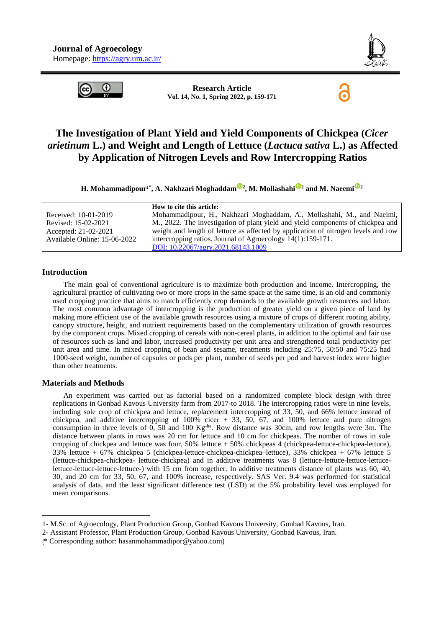



**Research Article Vol. 14, No. 1, Spring 2022, p. 159-171**



# **The Investigation of Plant Yield and Yield Components of Chickpea (***Cicer arietinum* **L.) and Weight and Length of Lettuce (***Lactuca sativa* **L.) as Affected by Application of Nitrogen Levels and Row Intercropping Ratios**

**H. Mohammadipour1\* , A. Nakhzari Moghadda[m](https://orcid.org/0000-0003-2282-6973) <sup>2</sup> , M. Mollashah[i](https://orcid.org/0000-0002-6358-9065) <sup>2</sup> and M. Naeem[i](https://orcid.org/0000-0001-7676-6289) <sup>2</sup>**

|                              | How to cite this article:                                                          |
|------------------------------|------------------------------------------------------------------------------------|
| Received: 10-01-2019         | Mohammadipour, H., Nakhzari Moghaddam, A., Mollashahi, M., and Naeimi,             |
| Revised: 15-02-2021          | M., 2022. The investigation of plant yield and yield components of chickpea and    |
| Accepted: 21-02-2021         | weight and length of lettuce as affected by application of nitrogen levels and row |
| Available Online: 15-06-2022 | intercropping ratios. Journal of Agroecology 14(1):159-171.                        |
|                              | DOI: 10.22067/agry.2021.68143.1009                                                 |

#### **Introduction**

The main goal of conventional agriculture is to maximize both production and income. Intercropping, the agricultural practice of cultivating two or more crops in the same space at the same time, is an old and commonly used cropping practice that aims to match efficiently crop demands to the available growth resources and labor. The most common advantage of intercropping is the production of greater yield on a given piece of land by making more efficient use of the available growth resources using a mixture of crops of different rooting ability, canopy structure, height, and nutrient requirements based on the complementary utilization of growth resources by the component crops. Mixed cropping of cereals with non-cereal plants, in addition to the optimal and fair use of resources such as land and labor, increased productivity per unit area and strengthened total productivity per unit area and time. In mixed cropping of bean and sesame, treatments including 25:75, 50:50 and 75:25 had 1000-seed weight, number of capsules or pods per plant, number of seeds per pod and harvest index were higher than other treatments.

### **Materials and Methods**

1

An experiment was carried out as factorial based on a randomized complete block design with three replications in Gonbad Kavous University farm from 2017-to 2018. The intercropping ratios were in nine levels, including sole crop of chickpea and lettuce, replacement intercropping of 33, 50, and 66% lettuce instead of chickpea, and additive intercropping of 100% cicer + 33, 50, 67, and 100% lettuce and pure nitrogen consumption in three levels of 0, 50 and 100 Kg-ha. Row distance was 30cm, and row lengths were 3m. The distance between plants in rows was 20 cm for lettuce and 10 cm for chickpeas. The number of rows in sole cropping of chickpea and lettuce was four, 50% lettuce + 50% chickpeas 4 (chickpea-lettuce-chickpea-lettuce), 33% lettuce + 67% chickpea 5 (chickpea-lettuce-chickpea-chickpea–lettuce), 33% chickpea + 67% lettuce 5 (lettuce-chickpea-chickpea- lettuce-chickpea) and in additive treatments was 8 (lettuce-lettuce-lettuce-lettucelettuce-lettuce-lettuce-lettuce-) with 15 cm from together. In additive treatments distance of plants was 60, 40, 30, and 20 cm for 33, 50, 67, and 100% increase, respectively. SAS Ver. 9.4 was performed for statistical analysis of data, and the least significant difference test (LSD) at the 5% probability level was employed for mean comparisons.

<sup>1-</sup> M.Sc. of Agroecology, Plant Production Group, Gonbad Kavous University, Gonbad Kavous, Iran.

<sup>2-</sup> Assistant Professor, Plant Production Group, Gonbad Kavous University, Gonbad Kavous, Iran.

<sup>)</sup>\* Corresponding author: [hasanmohammadipor@yahoo.com\)](mailto:hasanmohammadipor@yahoo.com)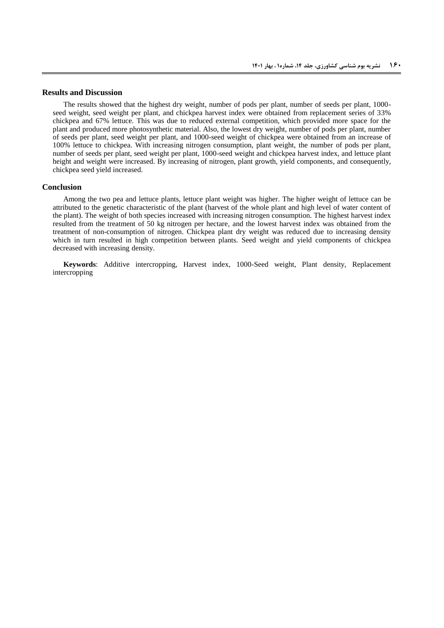#### **Results and Discussion**

The results showed that the highest dry weight, number of pods per plant, number of seeds per plant, 1000 seed weight, seed weight per plant, and chickpea harvest index were obtained from replacement series of 33% chickpea and 67% lettuce. This was due to reduced external competition, which provided more space for the plant and produced more photosynthetic material. Also, the lowest dry weight, number of pods per plant, number of seeds per plant, seed weight per plant, and 1000-seed weight of chickpea were obtained from an increase of 100% lettuce to chickpea. With increasing nitrogen consumption, plant weight, the number of pods per plant, number of seeds per plant, seed weight per plant, 1000-seed weight and chickpea harvest index, and lettuce plant height and weight were increased. By increasing of nitrogen, plant growth, yield components, and consequently, chickpea seed yield increased.

#### **Conclusion**

Among the two pea and lettuce plants, lettuce plant weight was higher. The higher weight of lettuce can be attributed to the genetic characteristic of the plant (harvest of the whole plant and high level of water content of the plant). The weight of both species increased with increasing nitrogen consumption. The highest harvest index resulted from the treatment of 50 kg nitrogen per hectare, and the lowest harvest index was obtained from the treatment of non-consumption of nitrogen. Chickpea plant dry weight was reduced due to increasing density which in turn resulted in high competition between plants. Seed weight and yield components of chickpea decreased with increasing density.

**Keywords**: Additive intercropping, Harvest index, 1000-Seed weight, Plant density, Replacement intercropping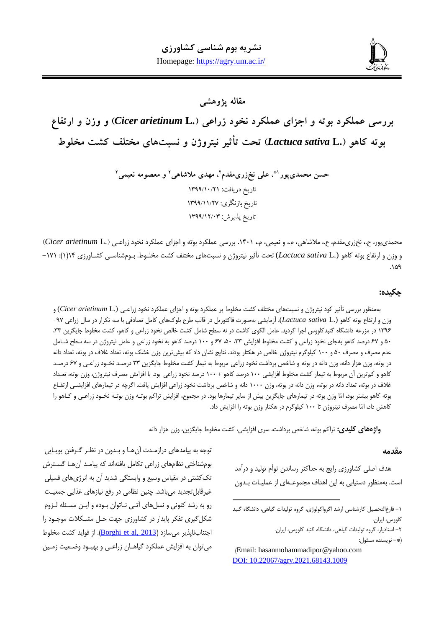

**مقاله پژوهشی**

**بررسی عملکرد بوته و اجزای عملکرد نخود زراعی ).L** *arietinum Cicer* **)و وزن و ارتفاع بوته کاهو ).L** *sativa Lactuca* **)تحت تأثیر نیتروژن و نسبتهای مختلف کشت مخلوط**

> **1\* حسن محمدیپور <sup>2</sup> و معصومه نعیمی <sup>2</sup> ، مهدی مالشاهی <sup>2</sup> ، علی نخزریمقدم** تاریخ دریافت: 2911/21/12 تاریخ بازنگری: 2911/22/12 تاریخ پذیرش: 2911/21/19

محمدیپور، ح،. نخزریمقدم، ع،. مالشاهی، م،. و نعیمی، م،. .1041 بررسی عملکرد بوته و اجزای عملکرد نخود زراع ی ).L *arietinum Cicer*) و وزن و ارتفاع بوته کاهو (*.Lactuca sativa* L) تحت تأثیر نیتروژن و نسبتهای مختلف کشت مخلـوط. بـومشناسـی کشـاورزی ۱۴(۱): ۱۷۱–  $.149$ 

### **چکیده:**

بهمنظور بررسی تأثیر کود نیتروژن و نسبتهای مختلف کشت مخلو بر عملکرد بوته و اجزای عملکرد نخود زراع ی (*.*L *arietinum Cicer* (و وزن و ارتفاع بوته کاهو (.L *sativa Lactuca*(، آزمایشی بهصورت فاکتوریل در قالب طرح بلوکهای کامل تصادفی با سه تکرار در سال زراعی -17 ۱۳۹۶ در مزرعه دانشگاه گنبدکاووس اجرا گردید. عامل الگوی کاشت در نه سطح شامل کشت خالص نخود زراعی و کاهو، کشت مخلوط جایگزین ۳۳، ۵۰ و ۶۷ درصد کاهو بهجای نخود زراعی و کشت مخلوط افزایش ۳۳، ۵۰، ۶۷ و ۱۰۰ درصد کاهو به نخود زراعی و عامل نیتروژن در سه سطح شـامل عدم مصرف و مصرف 54 و 144 کیلوگرم نیتروژن خالص در هکتار بودند. نتایج نشان داد که بیشترین وزن خشک بوته، تعداد غالف در بوته، تعداد دانه در بوته، وزن هزار دانه، وزن دانه در بوته و شاخص برداشت نخود زراعی مربوط به تیمار کشت مخلوط جایگزین ۳۳ درصد نخـود زراعـی و ۶۷ درصـد کاهو و کمترین آن مربوط به تیمار کشت مخلوط افزایشی ۱۰۰ درصد کاهو + ۱۰۰ درصد نخود زراعی بود. با افزایش مصرف نیتروژن، وزن بوته، تعـداد غلاف در بوته، تعداد دانه در بوته، وزن دانه در بوته، وزن ۱۰۰۰ دانه و شاخص برداشت نخود زراعی افزایش یافت. اگرچه در تیمارهای افزایشـی ارتفـاع بوته کاهو بیشتر بود، امّا وزن بوته در تیمارهای جایگزین بیش از سایر تیمارها بود. در مجموع، افزایش تراکم بوتـه وزن بوتـه نخـود زراعـی و کـاهو را کاهش داد، امّا مصرف نیتروژن تا 144 کیلوگرم در هکتار وزن بوته را افزایش داد.

 $\overline{a}$ 

و**اژههای کلیدی:** تراکم بوته، شاخص برداشت، سری افزایشی، کشت مخلوط جایگزین، وزن هزار دانه

### **مقدمه**

هدف اصلی کشاورزی رایج به حداکثر رساندن توأم تولید و درآمد است. بهمنظور دستیابی به این اهداف مجموعـهای از عملیـات بـدون

)Email: [hasanmohammadipor@yahoo.com](mailto:hasanmohammadipor@yahoo.com)  DOI: [10.22067/agry.2021.68143.1009](https://dx.doi.org/10.22067/agry.2021.68143.1009)

توجه به پیامدهای درازمـدت آنهـا و بـدون در نظـر گـرفتن پویـایی بومشناختی نظامهای زراعی تکامل یافتهاند که پیامد آنها گسترش تککشتی در مقیاس وسیع و وابستگی شدید آن به انرژیهای فسیلی غیرقابلتجدید میباشد. چنین نظامی در رفع نیازهای غذایی جمعی ت رو به رشد کنونی و نسلهای آتی ناتوان بوده و این مسئله لـزوم شکل گیری تفکر پایدار در کشاورزی جهت حـل مشـکلات موجـود را اجتنابناپذیر میسازد (<u>Borghi et al, 2013</u>). از فواید کشت مخلوط میتوان به افزایش عملکرد گیاهـان زراعـی و بهبـود وضـعیت زمـین

<sup>-1</sup> فارغالتحصیل کارشناسی ارشد اگرواکولوژی، گروه تولیدات گیاهی، دانشگاه گنبد کاووس، ایران.

<sup>-2</sup> استادیار، گروه تولیدات گیاهی، دانشگاه گنبد کاووس، ایران.

<sup>)\*-</sup> نویسنده مسئول: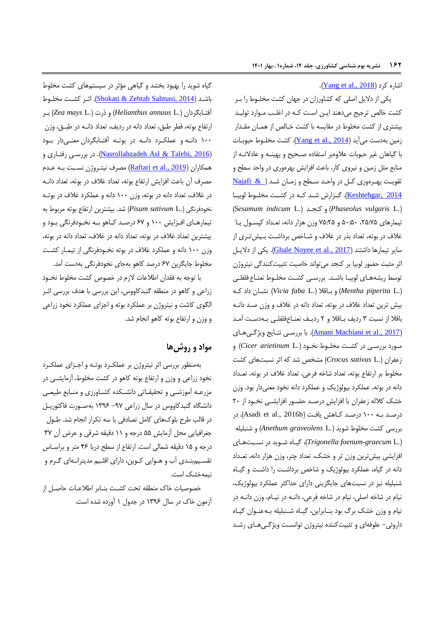اشاره کرد (<u>Yang [et al., 2018](#page-12-0)</u>).

یکی از دلایل اصلی که کشاورزان در جهان کشت مخلـوط را بـر کشت خالص ترجیح میدهند ایـن اسـت کـه در اغلـب مـوارد تولیـد بیشتری از کشت مخلوط در مقایسه با کشت خـالص از همـان مقـدار زمین بهدست میآید <u>(Yang et al., 2014</u>). کشت مخلـوط حبوبـات با گیاهان غیر حبوبات علاوهبر استفاده صحیح و بهینـه و عادلانـه از منابع مثل زمین و نیروی کار، باعث افزایش بهرهوری در واحد سطح و تقویت بهرهوری کل در واحد سطح و زمان شد ( Najafi & Keshtehgar, 2014). گزارش شد که در کشت مخلوط لوبیا )*Sesamum indicum* L.( د کنج و( *Phaseolus vulgaris* L.( تیمارهای ۲۵:۲۵۰ ۰:۵۰۰ و ۲۵:۲۵ وزن هزار دانه، تعداد کپسول یا غلاف در بوته، تعداد بذر در غلاف و شـاخص برداشـت بـیشتری از سایر تیمارها داشتند (2017 .Ghale Noyee et al). یکی از دلایل اثر مثبت حضور لوبیا بر کنجد میتواند خاصیت تثبیتکنندگی نیتروژن توسط ریشههای لوبیا باشد. بررسی کشت مخلوط نعناع فلفلی ).L *piperita Mentha* )و ب اقال ).L *faba Vicia* )نش ان داد ک ه بیش ترین تعداد غلاف در بوته، تعداد دانه در غلاف و وزن صـد دانــه باقال از نسبت 9 ردیف ب اقال و 2 ردی ف نعن اع فلفل ی ب ه دس ت آم د (<u>Amani Machiani et al., 2017)</u>. با بررسی نتـایج ویژگـیهـای مورد بررسی در کشت مخلـوط نخـود (Cicer arietinum L.) و زعفران ).L *sativus Crocus* )مشخص شد که اثر نسبتهای کشت مخلوط بر ارتفاع بوته، تعداد شاخه فرعی، تعداد غلاف در بوته، تعداد دانه در بوته، عملکرد بیولوژیک و عملکرد دانه نخود معنیدار بود. وزن خشک کلاله زعفران با افزایش درصد حضـور افزایشـی نخـود از ۲۰ درصد به ۱۰۰ درصد کاهش یافت (Asadi et al., 2016b). در بررسی کشت مخلو شوید ).L *graveolens Anethum* )و شنبلیله ).L *graecum-foenum Trigonella*)، گی اه ش وید در نس بت ه ای افزایشی بیشترین وزن تر و خشک، تعداد چتر، وزن هزار دانه، تع داد دانه در گیاه، عملکرد بیولوژیک و شاخص برداش ت را داش ت و گی اه شنبلیله نیز در نسبتهای جایگزینی دارای حداکثر عملکرد بیولوژیک، نیام در شاخه اصلی، نیام در شاخه فرعی، دانـه در نیـام، وزن دانـه در نیام و وزن خشک برگ بود بن ابراین، گی اه ش نبلیله ب ه عن وان گی اه داروئی– علوفهای و تثبیتکننده نیتروژن توانست ویژگی هـای رشـد

گیاه شوید را بهبود بخشد و گیاهی مؤثر در سیستمهای کشت مخلو باشد (Shokati & Zehtab Salmasi, 2014). اثر كشت مخلوط آفت ابگردان ).L *annuus Helianthus* )و ذرت ).L *mays Zea* )ب ر ارتفاع بوته، قطر طبق، تعداد دانه در ردیف، تعداد دان ه در طب ق ، وزن ۱۰۰ دانه و عملک رد دانـه در بوتـه آفتـابگردان معنـیدار بـود )[2016 ,Talebi & Asl Nasrollahzadeh](#page-11-3)). در بررس ی رفت اری و همکاران (<u>Raftari et al., 2019</u>) مصرف نیت روژن نسـبت بـه عـدم مصرف آن باعث افزایش ارتفاع بوته، تعداد غالف در بوته، تعداد دان ه در غالف، تعداد دانه در بوته، وزن 144 دانه و عملکرد غالف در بوت ه نخودفرنگی (.Pisum sativum L) شد. بیشترین ارتفاع بوته مربوط به تیمارهـای افـزایش ۱۰۰ و ۶۷ درصـد کـاهو بـه نخـودفرنگی بـود و بیشترین تعداد غالف در بوته، تعداد دانه در غالف، تعداد دانه در بوته، وزن 144 دانه و عملکرد غالف در بوته نخ ودفرنگی از تیم ار کش ت مخلوط جایگزین ۶۷ درصد کاهو بهجای نخودفرنگی بهدست آمد.

با توجه به فقدان اطلاعات لازم در خصوص کشت مخلوط نخـود زراعی و کاهو در منطقه گنبدکاووس، این بررسی با هدف بررسی اث ر الگوی کاشت و نیتروژن بر عملکرد بوته و اجزای عملکرد نخود زراعی و وزن و ارتفاع بوته کاهو انجام شد.

# **مواد و روشها**

بهمنظور بررسی اثر نیتروژن بر عملک رد بوت ه و اج زای عملک رد نخود زراعی و وزن و ارتفاع بوته کاهو در کشت مخلوط، آزمایشـی در مزرعـه آموزشـی و تحقیقـاتی دانشـکده کشـاورزی و منـابع طبیعـی دانشگاه گنبدکاووس در سال زراعی ۹۷- ۱۳۹۶ بهصورت فاکتوریل در قالب طرح بلوکهای کامل تصادفی با سه تکرار انجام شد. ط ول جغرافیایی محل آزمایش 55 درجه و 11 دقیقه شرقی و عرض آن 97 درجه و 15 دقیقه شمالی است. ارتفاع از سطح دریا 01 متر و براس اس تقسیم بندی آب و هــوایی کــوپن، دارای اقلــیم مدیترانــهای گــرم و نیمهخشک است.

خصوصیات خاک منطقه تحت کشت بنـابر اطلاعـات حاصـل از آزمون خاک در سال 1911 در جدول 1 آورده شده است.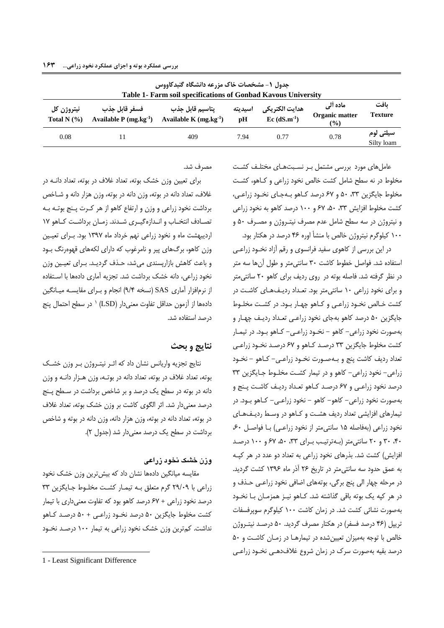| حدول ۱- مشخصات خاک مزرعه دانشگاه گنیدکاووس<br>Table 1- Farm soil specifications of Gonbad Kavous University |                                                       |                                               |               |                                 |                                      |                         |
|-------------------------------------------------------------------------------------------------------------|-------------------------------------------------------|-----------------------------------------------|---------------|---------------------------------|--------------------------------------|-------------------------|
| نيتروژن کل<br>Total N $(%)$                                                                                 | فسفر قابل جذب<br>Available $P$ (mg.kg <sup>-1</sup> ) | يتاسيم قابل جذب<br>Available K $(mg.kg^{-1})$ | اسيديته<br>pH | هدايت الكتريكي<br>$Ec (dS.m-1)$ | ماده ألى<br>Organic matter<br>$($ %) | ىافت<br><b>Texture</b>  |
| 0.08                                                                                                        |                                                       | 409                                           | 7.94          | 0.77                            | 0.78                                 | سيلتي لوم<br>Silty loam |

مصرف شد.

عامل های مورد بررسی مشتمل ب رنسبت های مختلف کشت مخلوط در نه سطح شامل کشت خالص نخود زراعی و کاهو، کشت مخلوط جایگزین ۳۳، ۵۰ و ۶۷ درصد ک]هو بـهجـای نخـود زراعـی، کشت مخلوط افزایش ۳۳، ۵۰، ۶۷ و ۱۰۰ درصد کاهو به نخود زراعی و نیتروژن در سه سطح شامل عدم مصرف نیت روژن و مص رف 54 و 144 کیلوگرم نیتروژن خالص با منشأ اوره 01 درصد در هکتار بود.

در این بررسی از کاهوی سفید فرانسوی و رقم آزاد نخـود زراعـی استفاده شد. فواصل خطو کاشت 94 سانتیمتر و طول آنها سه متر در نظر گرفته شد. فاصله بوته در روی ردیف برای کاهو 24 سانتیمتر و برای نخود زراعی 14 سانتیمتر بود. تع داد ردی ف ه ای کاش ت در کشت خـالص نخـود زراعـى و کـاهو چهـار بـود. در کشـت مخلـوط جایگزین ۵۰ درصد کاهو بهجای نخود زراعی تعداد ردیف چهار و بهصورت نخود زراعی- کاهو - نخـود زراعـی- کـاهو بـود. در تیمـار کشت مخلوط جایگزین ۳۳ درصد کاهو و ۶۷ درصد نخود زراعی تعداد ردیف کاشت پنج و ب ه ص ورت نخ ود زراع ی - ک اهو - نخ ود زراعی- نخود زراعی- کاهو و در تیمار کشت مخلوط جایگزین ۳۳ درصد نخود زراعی و ۶۷ درصد کاهو تعداد ردیف کاشت پنج و بهصورت نخود زراعی- کاهو- کاهو – نخود زراعـی- کـاهو بـود. در تیمارهای افزایشی تعداد ردیف هش ت و ک اهو در وس ط ردی ف ه ای نخود زراعی (بهفاصله ۱۵ سانتی متر از نخود زراعی) با فواصل ۶۰ ۴۰، ۳۰ و ۲۰ سانتی متر (به ترتیب برای ۳۳، ۵۰، ۶۷ و ۱۰۰ درصد افزایش) کشت شد. بذرهای نخود زراعی به تعداد دو عدد در هر کپه به عمق حدود سه سانتیمتر در تاریخ 21 آذر ماه 1911 کشت گردید. در مرحله چهار الی پنج برگی، بوتههای اضافی نخود زراعـی حـذف و در هر کپه یک بوته باقی گذاشته شد. کـاهو نیـز همزمـان بـا نخـود بهصورت نشائی کشت شد. در زمان کاشت 144 کیلوگرم سوپرفسفات تریپل (۴۶ درصد فسفر) در هکتار مصرف گردید. ۵۰ درصد نیت روژن خالص با توجه بهمیزان تعیین شده در تیمارها در زمان کاشت و ۵۰ درصد بقیه بهصورت سرک در زمان شروع غالفده ی نخ ود زراع ی

برای تعیین وزن خشک بوته، تعداد غالف در بوته، تعداد دان ه در غالف، تعداد دانه در بوته، وزن دانه در بوته، وزن هزار دانه و ش اخص برداشت نخود زراعی و وزن و ارتفاع کاهو از هر کـرت پـنج بوتـه بـه تصادف انتخاب و اندازهگیری شدند. زمان برداشت کاهو ١٧ اردیبهشت ماه و نخود زراعی نهم خرداد ماه 1917 بود. ب رای تعی ین وزن کاهو، برگهای پیر و نامرغوب که دارای لکههای قهوهرنگ ب ود و باعث کاهش بازارپسندی میشد، حـذف گردیـد. بـرای تعیـین وزن نخود زراعی، دانه خشک برداشت شد. تجزیه آماری دادهها با اس تفاده از نرمافزار آماری SAS( نسخه 1/0( انجام و ب رای مقایس ه می انگین 1 دادهها از آزمون حداقل تفاوت معنیدار )LSD) در سطح احتمال پنج درصد استفاده شد.

### **نتایج و بحث**

نتایج تجزیه واریانس نشان داد که اثـر نیتـروژن بـر وزن خشـک بوته، تعداد غالف در بوته، تعداد دانه در بوت ه، وزن ه زار دان ه و وزن دانه در بوته در سطح یک درصد و بر شاخص برداشت در س طح پ نج درصد معنیدار شد. اثر الگوی کاشت بر وزن خشک بوته، تعداد غالف در بوته، تعداد دانه در بوته، وزن هزار دانه، وزن دانه در بوته و شاخص برداشت در سطح یک درصد معنیدار شد )جدول 2(.

# **وزن خشک نخود زراعی**

مقایسه میانگین دادهها نشان داد که بیشترین وزن خشک نخود زراعی با ۲۹/۰۹ گرم متعلق بـه تیمـار کشـت مخلـوط جـایگزین ۳۳ درصد نخود زراعی + 17 درصد کاهو بود که تفاوت معنیداری با تیمار کشت مخلوط جایگزین ۵۰ درصد نخـود زراعـی + ۵۰ درصـد کـاهو نداشت. کمترین وزن خشک نخود زراعی به تیمار ۱۰۰ درصـد نخـود

**.** 

<sup>1</sup> - Least Significant Difference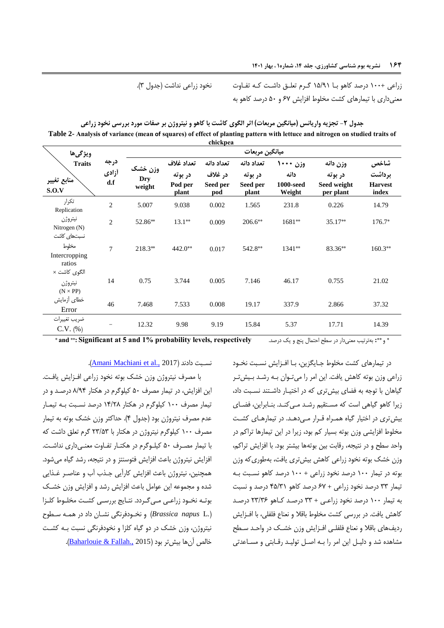نخود زراعی نداشت )جدول 9(.

زراعی ۱۰۰+ درصد کاهو بـا ۱۵/۹۱ گـرم تعلـق داشـت کـه تفـاوت معنیداری با تیمارهای کشت مخلو افزایش 17 و 54 درصد کاهو به

|                                                  |                |                |                  | chickpea        |                   |                            |                          |                         |  |  |
|--------------------------------------------------|----------------|----------------|------------------|-----------------|-------------------|----------------------------|--------------------------|-------------------------|--|--|
| ويژگىھا                                          |                | ميانگين مربعات |                  |                 |                   |                            |                          |                         |  |  |
| <b>Traits</b>                                    | درجه           | وزن خشک        | تعداد غلاف       | تعداد دانه      | تعداد دانه        | وزن ۱۰۰۰                   | وزن دانه                 | شاخص                    |  |  |
| منابع تغيير                                      | أزادي          | Dry            | در بوته          | در غلاف         | در بوته           | دانه                       | در بوته                  | برداشت                  |  |  |
| S.O.V                                            | d.f            | weight         | Pod per<br>plant | Seed per<br>pod | Seed per<br>plant | <b>1000-seed</b><br>Weight | Seed weight<br>per plant | <b>Harvest</b><br>index |  |  |
| تكرار<br>Replication                             | $\overline{c}$ | 5.007          | 9.038            | 0.002           | 1.565             | 231.8                      | 0.226                    | 14.79                   |  |  |
| نيتروژن<br>Nitrogen (N)<br>نسبتهای کاشت          | $\overline{c}$ | 52.86**        | $13.1**$         | 0.009           | $206.6**$         | $1681**$                   | $35.17**$                | $176.7*$                |  |  |
| مخلوط<br>Intercropping<br>ratios<br>الگوی کاشت × | $\overline{7}$ | $218.3**$      | $442.0**$        | 0.017           | 542.8**           | 1341**                     | 83.36**                  | $160.3**$               |  |  |
| نيتروژن<br>$(N \times PP)$                       | 14             | 0.75           | 3.744            | 0.005           | 7.146             | 46.17                      | 0.755                    | 21.02                   |  |  |
| خطاى أزمايش<br>Error                             | 46             | 7.468          | 7.533            | 0.008           | 19.17             | 337.9                      | 2.866                    | 37.32                   |  |  |
| ضريب تغييرات<br>$C.V.$ (%)                       |                | 12.32          | 9.98             | 9.19            | 15.84             | 5.37                       | 17.71                    | 14.39                   |  |  |

**جدول -2 تجزیه واریانس )میانگین مربعات( اثر الگوی کاشت با کاهو و نیتروژن بر صفات مورد بررسی نخود زراعی Table 2- Analysis of variance (mean of squares) of effect of planting pattern with lettuce and nitrogen on studied traits of** 

\* و **:** بهترتیب معنیدار در سطح احتمال پنج و یک درصد. **respectively ,levels probability 1% and 5 at Significant :**\*\* \*\* **and** \*

.([Amani Machiani et al.,](#page-10-0) 2017). با مصرف نیتروژن وزن خشک بوته نخود زراعی اف زایش یاف ت. این افزایش، در تیمار مصرف ۵۰ کیلوگرم در هکتار ۸/۹۴ درصد و در تیمار مصرف ۱۰۰ کیلوگرم در هکتار ۱۴/۲۸ درصد نسبت بـه تیمـار عدم مصرف نیتروژن بود )جدول 0(. حداکثر وزن خشک بوته به تیمار مصرف 144 کیلوگرم نیتروژن در هکتار با 29/59 گرم تعلق داشت که با تیمار مصرف ۵۰ کیلـوگرم در هکتـار تفـاوت معنـی داری نداشـت. افزایش نیتروژن باعث افزایش فتوسنتز و در نتیجه، رشد گیاه میشود. همچنین، نیتروژن باعث افزایش کارآیی ج ذب آب و عناص ر غ ذایی شده و مجموعه این عوامل باعث افزایش رشد و افزایش وزن خش ک بوتـه نخـود زراعـی مـیگـردد. نتـایج بررسـی کشـت مخلـوط کلـزا ).L *napus Brassica* )و نخ ودفرنگی نش ان داد در هم ه س طوح نیتروژن، وزن خشک در دو گیاه کلزا و نخودفرنگی نسبت ب ه کش ت خالص آنها بیش تر بود (<u>Baharlouie & Fallah.,</u> 2015).

در تیمارهای کشت مخلوط جـایگزین، بـا افـزایش نسـبت نخـود زراعی وزن بوته کاهش یافت. این امر را میت وان ب ه رش د ب یش ت ر گیاهان با توجه به فضای بیشتری که در اختیار داشتند نسبت داد، زیرا کاهو گیاهی است که مستقیم رشد می کنـد. بنـابراین، فضـای بیش تری در اختیار گیاه هم راه قرار مهدهد. در تیمارهای کشت مخلوط افزایشی وزن بوته بسیار کم بود، زیرا در این تیمارها تراکم در واحد سطح و در نتیجه، رقابت بین بوتهها بیشتر بود. با افزایش تراکم، وزن خشک بوته نخود زراعی کاهش بیشتری یافت، بهطوریکه وزن بوته در تیمار ۱۰۰ درصد نخود زراعی + ۱۰۰ درصد کاهو نسبت به تیمار 99 درصد نخود زراعی + 17 درصد کاهو 05/91 درصد و نسبت به تیمار 144 درصد نخود زراع ی + 99 درص د ک اهو 29/91 درص د کاهش یافت. در بررسی کشت مخلوط باقلا و نعناع فلفلی، با افـزایش ردیفهای باقلا و نعناع فلفلی افـزایش وزن خشـک در واحـد سـطح مشاهده شد و دلیـل این امر را بـه اصـل تولیـد رقـابتی و مسـاعدتی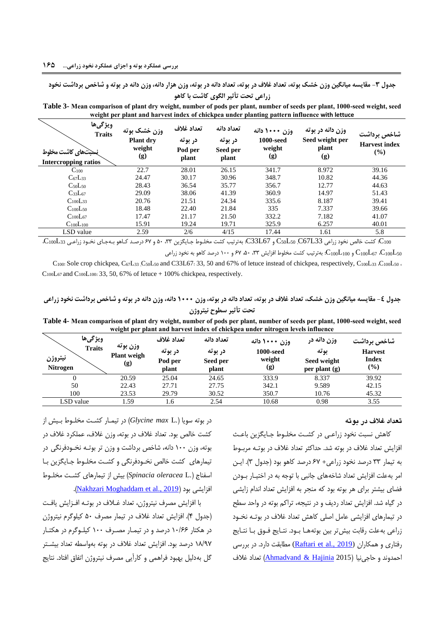**Intercropping ratios**

**جدول -3 مقایسه میانگین وزن خشک بوته، تعداد غالف در بوته، تعداد دانه در بوته، وزن هزار دانه، وزن دانه در بوته و شاخص برداشت نخود زراعی تحت تأثیر الگوی کاشت با کاهو**

|                                                                       | weight per plant and harvest index of chickpea under planting pattern influence with lettuce |                  |                  |                   |                  |                  |                      |  |
|-----------------------------------------------------------------------|----------------------------------------------------------------------------------------------|------------------|------------------|-------------------|------------------|------------------|----------------------|--|
|                                                                       | ويژگىھا<br><b>Traits</b>                                                                     | وزن خشک بوته     | تعداد غلاف       | تعداد دانه        | وزن ۱۰۰۰ دانه    | وزن دانه در بوته | شاخص برداشت          |  |
|                                                                       |                                                                                              | <b>Plant drv</b> | د, بوته          | د, بوته           | <b>1000-seed</b> | Seed weight per  | <b>Harvest</b> index |  |
| بممبثهاي كاشت مخلوط<br>$\mathbf{r}$ and $\mathbf{r}$ and $\mathbf{r}$ |                                                                                              | weight<br>(g)    | Pod per<br>plant | Seed per<br>plant | weight<br>(g)    | plant<br>(g)     | $($ %)               |  |

 $C_{100}$  22.7 28.01 26.15 341.7 8.972 39.16  $C_{67}L_{33}$  24.47 30.17 30.96 348.7 10.82 44.36  $C_{50}$ L<sub>50</sub> 28.43 36.54 35.77 356.7 12.77 44.63  $C_{33}L_{67}$  29.09 38.06 41.39 360.9 14.97 51.43  $C_{100}L_{33}$  20.76 21.51 24.34 335.6 8.187 39.41 C<sub>100</sub>L<sub>50</sub> 18.48 22.40 21.84 335 7.337 39.66  $C_{100}$ L<sub>67</sub> 17.47 21.17 21.50 332.2 7.182 41.07  $C_{100}$  15.91 19.24 19.71 325.9 6.257 40.01

| Table 3- Mean comparison of plant dry weight, number of pods per plant, number of seeds per plant, 1000-seed weight, seed |  |
|---------------------------------------------------------------------------------------------------------------------------|--|
| weight per plant and harvest index of chickpea under planting pattern influence with lettuce                              |  |

| LSD value                                                                                                                                         | 2.59 | 2/6 | 4/15 | 17.44 |  |
|---------------------------------------------------------------------------------------------------------------------------------------------------|------|-----|------|-------|--|
| $\rm C_{100}L_{33}$ کشت خالص نخود زراعی C67L33 و C33L67. بهترتیب کشت مخلـوط جـایگزین ۳۳، ۵۰ و ۶۷ درصـد کـاهو بـهجـای نخـود زراعـی 2 $\rm C_{100}$ |      |     |      |       |  |

و 1 $\rm C_{100}$ . بهترتیب کشت مخلوط افزایش ۳۳، ۵۰، ۶۷ و ۱۰۰ درصد کاهو به نخود زراعی  $\rm C_{100}$ . در $\rm C_{100}$ و ۲۰۵ $\rm C_{100}$ 

C<sub>100</sub>: Sole crop chickpea, C<sub>67</sub>L<sub>33</sub>, C<sub>50</sub>L<sub>50</sub> and C33L67: 33, 50 and 67% of letuce instead of chickpea, respectively, C<sub>100</sub>L<sub>33</sub>, C<sub>100</sub>L<sub>50</sub>,  $C_{100}L_{67}$  and  $C_{100}L_{100}$ : 33, 50, 67% of letuce + 100% chickpea, respectively.

## **جدول -4 مقایسه میانگین وزن خشک، تعداد غالف در بوته، تعداد دانه در بوته، وزن 1111 دانه، وزن دانه در بوته و شاخص برداشت نخود زراعی تحت تأثیر سطوح نیتروژن**

**Table 4- Mean comparison of plant dry weight, number of pods per plant, number of seeds per plant, 1000-seed weight, seed weight per plant and harvest index of chickpea under nitrogen levels influence**

| ويژگىھا<br><b>Traits</b><br>نيتروژن<br><b>Nitrogen</b> | وزن بوته<br><b>Plant</b> weigh<br>(g) | تعداد غلاف<br>در بوته<br>Pod per<br>plant | تعداد دانه<br>در بوته<br>Seed per<br>plant | وزن ۱۰۰۰ دانه<br><b>1000-seed</b><br>weight<br>(g) | وزن دانه در<br>يوته<br>Seed weight<br>per plant $(g)$ | شاخص برداشت<br><b>Harvest</b><br><b>Index</b><br>(%) |
|--------------------------------------------------------|---------------------------------------|-------------------------------------------|--------------------------------------------|----------------------------------------------------|-------------------------------------------------------|------------------------------------------------------|
| $\Omega$                                               | 20.59                                 | 25.04                                     | 24.65                                      | 333.9                                              | 8.337                                                 | 39.92                                                |
| 50                                                     | 22.43                                 | 27.71                                     | 27.75                                      | 342.1                                              | 9.589                                                 | 42.15                                                |
| 100                                                    | 23.53                                 | 29.79                                     | 30.52                                      | 350.7                                              | 10.76                                                 | 45.32                                                |
| LSD value                                              | 1.59                                  | 1.6                                       | 2.54                                       | 10.68                                              | 0.98                                                  | 3.55                                                 |

#### **تعداد غالف در بوته**

کاهش نسبت نخود زراعـی در کشـت مخلـوط جـایگزین باعـث افزایش تعداد غلاف در بوته شد. حداکثر تعداد غلاف در بوتـه مربـوط به تیمار 99 درصد نخود زراعی+ 17 درصد کاهو بود )جدول 9(. ای ن امر بهعلت افزایش تعداد شاخههای جانبی با توجه به در اختی ار ب ودن فضای بیشتر برای هر بوته بود که منجر به افزایش تعداد اندام زایشی در گیاه شد. افزایش تعداد ردیف و در نتیجه، تراکم بوته در واحد سطح در تیمارهای افزایشی عامل اصلی کاهش تعداد غلاف در بوتـه نخـود زراعی به علت رقابت بیشتر بین بوتههـا بـود. نتـایج فـوق بـا نتـایج رفتاری و همکاران (Raftari et al., 2019) مطابقت دارد. در بررسی احمدوند و حاجینیا )2015 [Hajinia & Ahmadvand](#page-10-1) )تعداد غالف

در بوته سویا (*Glycine max* L.) در تیمـار کشـت مخلـوط بـیش از کشت خالص بود. تعداد غالف در بوته، وزن غالف، عملکرد غالف در بوته، وزن ۱۰۰ دانه، شاخص برداشت و وزن تر بوتـه نخـودفرنگی در تیمارهای کشت خالص نخ ودفرنگی و کش ت مخل و ج ایگزین ب ا اسفناج (.Spinacia oleracea L) بیش از تیمارهای کشت مخلوط .([Nakhzari Moghaddam et al., 2019](#page-11-6)).

با افزایش مصرف نیتروژن، تعداد غ الف در بوت ه اف زایش یاف ت )جدول 0(. افزایش تعداد غالف در تیمار مصرف 54 کیلوگرم نیتروژن در هکتار ۱۰/۶۶ درصد و در تیمـار مصـرف ۱۰۰ کیلـوگرم در هکتـار 18/17 درصد بود. افزایش تعداد غالف در بوته بهواسطه تعداد بیش تر گل بهدلیل بهبود فراهمی و کارآیی مصرف نیتروژن اتفاق افتاد. نتایج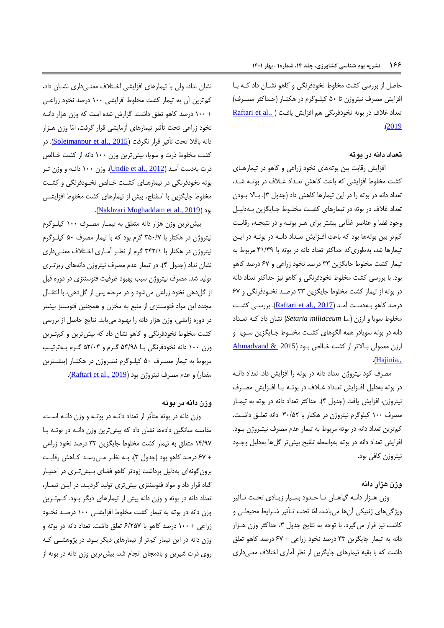حاصل از بررسی کشت مخلوط نخودفرنگی و کاهو نشـان داد کـه بـا افزایش مصرف نیتروژن تا ۵۰ کیلـوگرم در هکتـار (حـداکثر مصـرف) تعداد غلاف در بوته نخودفرنگی هم افزایش یافت (Raftari et al., [\)](#page-11-4) .)[2019](#page-11-4)

#### **تعداد دانه در بوته**

افزایش رقابت بین بوتههای نخود زراعی و کاهو در تیماره ای کشت مخلوط افزایشی که باعث کاهش تعـداد غـلاف در بوتـه شـد، تعداد دانه در بوته را در این تیمارها کاهش داد )جدول 9(. ب اال ب ودن تعداد غلاف در بوته در تیمارهای کشت مخلوط جـایگزین بـهدلیـل وجود فضا و عناصر غذایی بیشتر برای هـر بوتـه و در نتیجـه، رقابـت کمتر بین بوتهها بود که باعث افـزایش تعـداد دانـه در بوتـه در ایـن تیمارها شد، بهطوری که حداکثر تعداد دانه در بوته با ۴۱/۳۹ مربوط به تیمار کشت مخلوط جایگزین ۳۳ درصد نخود زراعی و ۶۷ درصد کاهو بود. با بررسی کشت مخلوط نخودفرنگی و کاهو نیز حداکثر تعداد دانه در بوته از تیمار کشت مخلوط جایگزین ۳۳ درصد نخودفرنگی و ۶۷ درصد کاهو بـهدسـت آمـد <u>(Raftari et al., 2017)</u>. بررسـی کشـت مخلو سویا و ارزن ).L *miliaceum Setaria* )نشان داد ک ه تع داد دانه در بوته سویادر همه الگوهای کشت مخلـوط جـایگزین سـویا و ارزن معمولی ب االتر از کشت خ الص ب ود )2015 [& Ahmadvand](#page-10-1) .)[Hajinia.,](#page-10-1)

مصرف کود نیتروژن تعداد دانه در بوته را افزایش داد. تعداد دان ه در بوته بهدلیل افـزایش تعـداد غــلاف در بوتــه بــا افـزایش مصـرف نیتروژن، افزایش یافت (جدول ۴). حداکثر تعداد دانه در بوته به تیمار مصرف 144 کیلوگرم نیتروژن در هکتار با 94/52 دانه تعل ق داش ت. کمترین تعداد دانه در بوته مربوط به تیمار عدم مصرف نیت روژن بود. افزایش تعداد دانه در بوته بهواسطه تلقیح بیشتر گلها بهدلیل وج ود نیتروژن کافی بود.

### **وزن هزار دانه**

وزن هـزار دانـه گیاهـان تـا حـدود بسـیار زیـادی تحـت تـأثیر ویژگیهای ژنتیکی آنها میباشد، امّا تحت تـأثیر شـرایط محیطـی و کاشت نیز قرار میگیرد. با توجه به نتایج جدول ۳، حداکثر وزن ه زار دانه به تیمار جایگزین 99 درصد نخود زراعی + 17 درصد کاهو تعلق داشت که با بقیه تیمارهای جایگزین از نظر آماری اختالف معنیداری

نشان نداد، ولی با تیمارهای افزایشی اخ تالف معن ی داری نش ان داد **.** کمترین آن به تیمار کشت مخلوط افزایشی ۱۰۰ درصد نخود زراعبی + 144 درصد کاهو تعلق داشت. گزار شده است که وزن هزار دان ه نخود زراعی تحت تأثیر تیمارهای آزمایشی قرار گرفت، امّا وزن ه زار دانه باقلا تحت تأثیر قرار نگرفت <u>(Soleimanpur et al., 2015</u>). در کشت مخلوط ذرت و سویا، بیشترین وزن ۱۰۰ دانه از کشت خـالص ذرت بهدست آمـد <u>(Undie et al., 2012</u>). وزن 1۰۰ دانـه و وزن تـر بوته نخودفرنگی در تیماره ای کش ت خ الص نخ ودفرنگی و کش ت مخلوط جایگزین با اسفناج، بیش از تیمارهای کشت مخلوط افزایشی .([Nakhzari Moghaddam et al., 2019](#page-11-6))

بیش ترین وزن هزار دانه متعلق به تیمار مصرف ١٠٠ کیلوگرم نیتروژن در هکتار با 954/7 گرم بود که با تیمار مصرف 54 کیل وگرم نیتروژن در هکتار با ۳۴۲/۱ گرم از نظـر آمـاری اخـتلاف معنـی داری نشان نداد )جدول 0(. در تیمار عدم مصرف نیتروژن دانههای ریزت ری تولید شد. مصرف نیتروژن سبب بهبود ظرفیت فتوسنتزی در دوره قبل از گلدهی نخود زراعی میشود و در مرحله پس از گلدهی، با انتق ال مجدد این مواد فتوسنتزی از منبع به مخزن و همچنین فتوسنتز بیشتر در دوره زایشی، وزن هزار دانه را بهبود مییابد. نتایج حاصل از بررسی کشت مخلوط نخودفرنگی و کاهو نشان داد که بیش ترین و کمترین وزن ١٠٠ دانه نخودفرنگی با ۵۴/۹۸ گرم و ۵۲/۰۴ گرم به ترتیب مربوط به تیمار مصـرف ۵۰ کیلـوگرم نیتـروژن در هکتـار (بیشـترین مقدار) و عدم مصرف نیتروژن بود (Raftari et al., 2019).

### **وزن دانه در بوته**

وزن دانه در بوته متأثر از تعداد دانـه در بوتـه و وزن دانـه اسـت. مقایسه میانگین دادهها نشان داد که بیشترین وزن دانـه در بوتـه بـا ۱۴/۹۷ متعلق به تیمار کشت مخلوط جایگزین ۳۳ درصد نخود زراعی + 17 درصد کاهو بود )جدول 9(. ب ه نظ ر م ی رس د ک اهش رقاب ت برون گونهای بهدلیل برداشت زودتر کاهو فضای بیش تری در اختیار گیاه قرار داد و مواد فتوسنتزی بیشتری تولید گردید. در این تیمار، تعداد دانه در بوته و وزن دانه بیش از تیمارهای دیگر ب ود. ک م ت رین وزن دانه در بوته به تیمار کشت مخلوط افزایشی ۱۰۰ درصد نخـود زراعی + 144 درصد کاهو با 1/257 تعلق داشت. تعداد دانه در بوته و وزن دانه در این تیمار کمتر از تیمارهای دیگر ب ود. در پیوهش ی ک ه روی ذرت شیرین و بادمجان انجام شد، بیشترین وزن دانه در بوته از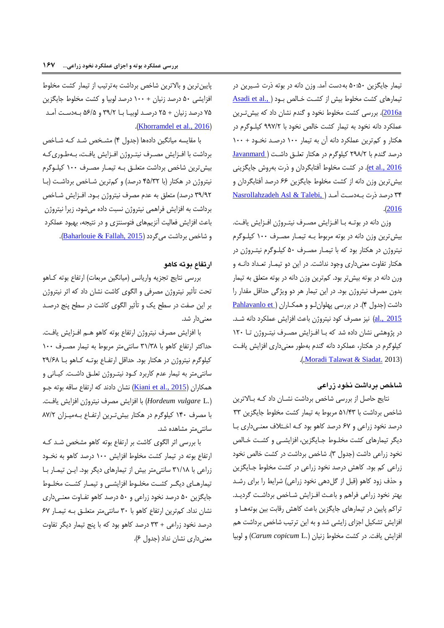تیمار جایگزین 54:54 بهدست آمد. وزن دانه در بوته ذرت ش یرین در تیمارهای کشت مخلوط بیش از کشت خـالص بـود (Asadi et al.,[\)](#page-10-2) 2016a). بررسی کشت مخلوط نخود و گندم نشان داد که بیش ترین عملکرد دانه نخود به تیمار کشت خالص نخود با 117/2 کیل وگرم در هکتار و کمترین عملکرد دانه آن به تیمار 144 درص د نخ ود + 144 درصد گندم با ٢٩٨/٢ کیلوگرم در هکتار تعلـق داشت (Javanmard <u>et al., 2016</u>). در کشت مخلوط آفتابگردان و ذرت بهروش جایگزینی بیش ترین وزن دانه از کشت مخلوط جایگزین ۶۶ درصد آفتابگردان و 90 درصد ذرت ب ه دس ت آم د [\)](#page-11-3) [,Talebi & Asl Nasrollahzadeh](#page-11-3)  $. (2016)$  $. (2016)$  $. (2016)$ 

وزن دانه در بوتـه بـا افـزایش مصـرف نیتـروژن افـزایش یافت. بیش ترین وزن دانه در بوته مربوط بـه تیمـار مصـرف ١٠٠ کیلـوگرم نیتروژن در هکتار بود که با تیمـار مصـرف ۵۰ کیلـوگرم نیتـروژن در هکتار تفاوت معنیداری وجود نداشت. در این دو تیمـار تعـداد دانـه و ورن دانه در بوته بیشتر بود. کمترین وزن دانه در بوته متعلق به تیمار بدون مصرف نیتروژن بود. در این تیمار هر دو وییگی حداقل مقدار را داشت (جدول ۴[\)](#page-11-9). در بررسی پهلوانلو و همکاران (Pahlavanlo et [2015 .,al](#page-11-9) )نیز مصرف کود نیتروژن باعث افزایش عملکرد دانه ش د. در پژوهشی نشان داده شد که با افـزایش مصـرف نیتـروژن تـا ١٢٠ کیلوگرم در هکتار، عملکرد دانه گندم بهطور معنیداری افزایش یاف ت .(Moradi Talawat & Siadat. 2013)

### **شاخص برداشت نخود زراعی**

نتایج حاصل از بررسی شاخص برداشت نشان داد که بالاترین شاخص برداشت با ۵۱/۴۳ مربوط به تیمار کشت مخلوط جایگزین ۳۳ درصد نخود زراعی و ۶۷ درصد کاهو بود که اختلاف معنى دارى با دیگر تیمارهای کشت مخلوط جایگزین، افزایشبی و کشت خالص نخود زراعی داشت )جدول 9(. شاخص برداشت در کشت خالص نخود زراعی کم بود. کاهش درصد نخود زراعی در کشت مخلوط جایگزین و حذف زود کاهو (قبل از گلدهی نخود زراعی) شرایط را برای رشد بهتر نخود زراعی فراهم و باعث افـزایش شـاخص برداشت گردیـد. تراکم پایین در تیمارهای جایگزین باعث کاهش رقابت بین بوتهها و افزایش تشکیل اجزای زایشی شد و به این ترتیب شاخص برداشت هم افزایش یافت. در کشت مخلو زنیان ).L *copicum Carum* )و لوبیا

پایینترین و باالترین شاخص برداشت بهترتیب از تیمار کشت مخلو افزایشی ۵۰ درصد زنیان + ۱۰۰ درصد لوبیا و کشت مخلوط جایگزین 75 درصد زنیان + 25 درص د لوبی ا ب ا 91/2 و 51/5 ب ه دس ت آم د .([Khorramdel et al., 2016](#page-11-11))

با مقایسه میانگین دادهها )جدول 0( مش خص ش د ک ه ش اخص برداشت با افـزایش مصـرف نیتـروژن افـزایش یافـت، بـهطـوری کـه بیش ترین شاخص برداشت متعلـق بـه تیمـار مصـرف ١٠٠ کیلـوگرم نیتروژن در هکتار (با ۴۵/۳۲ درصد) و کمترین شاخص برداشت (با ۳۹/۹۲ درصد) متعلق به عدم مصرف نیتروژن بـود. افـزایش شـاخص برداشت به افزایش فراهمی نیتروژن نسبت داده میشود، زیرا نیتروژن باعث افزایش فعالیت آنزیمهای فتوسنتزی و در نتیجه، بهبود عملکرد و شاخص برداشت میگردد (Baharlouie & Fallah, 2015).

## **ارتفاع بوته کاهو**

بررسی نتایج تجزیه واریانس (میانگین مربعات) ارتفاع بوته کـاهو تحت تأثیر نیتروژن مصرفی و الگوی کاشت نشان داد که اثر نیتروژن بر این صفت در سطح یک و تأثیر الگوی کاشت در سطح پنج درص د معنیدار شد.

با افزایش مصرف نیتروژن ارتفاع بوته کاهو ه م اف زایش یاف ت. حداکثر ارتفاع کاهو با ۳۱/۳۸ سانتی متر مربوط به تیمار مصـرف ۱۰۰ کیلوگرم نیتروژن در هکتار بود. حداقل ارتفاع بوتـه کـاهو بــا ٢٩/۶٨ سانتی متر به تیمار عدم کاربرد کـود نیتـروژن تعلـق داشـت. کیـانی و همکاران <u>(2015 .Kiani et al)</u> نشان دادند که ارتفاع ساقه بوته جـو ).L *vulgare Hordeum* )با افزایش مصرف نیتروژن افزایش یاف ت. با مصرف ١۴٠ کیلوگرم در هکتار بیش تـرین ارتفـاع بـهمیـزان ٨٧/٢ سانتیمتر مشاهده شد.

با بررسی اثر الگوی کاشت بر ارتفاع بوته کاهو مشخص شد ک ارتفاع بوته در تیمار کشت مخلوط افزایش ١٠٠ درصد کاهو به نخود زراعی با ۳۱/۱۸ سانتی متر بیش از تیمارهای دیگر بود. این تیم ار با تیمارهـای دیگـر کشـت مخلـوط افزایشـی و تیمـار کشـت مخلـوط جایگزین ۵۰ درصد نخود زراعی و ۵۰ درصد کاهو تفاوت معنی داری نشان نداد. کمترین ارتفاع کاهو با ۳۰ سانتی متر متعلـق بـه تیمـار ۶۷ درصد نخود زراعی + 99 درصد کاهو بود که با پنج تیمار دیگر تفاوت معنیداری نشان نداد )جدول 1(.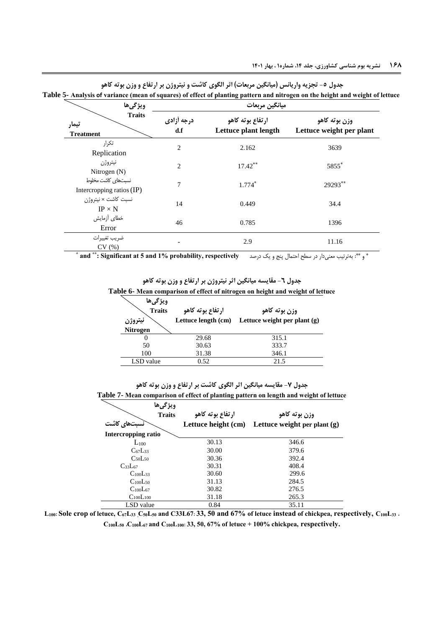| ويژگىھا                                         | ميانگين مربعات                              |                                          |                                           |  |  |  |
|-------------------------------------------------|---------------------------------------------|------------------------------------------|-------------------------------------------|--|--|--|
| <b>Traits</b><br>تيمار<br><b>Treatment</b>      | درجه أزادى<br>$\mathbf{d} \cdot \mathbf{f}$ | ارتفاع بوته كاهو<br>Lettuce plant length | وزن بوته كاهو<br>Lettuce weight per plant |  |  |  |
| تكرار<br>Replication                            | $\overline{2}$                              | 2.162                                    | 3639                                      |  |  |  |
| نيتروژن<br>Nitrogen $(N)$                       | $\overline{2}$                              | $17.42***$                               | 5855*                                     |  |  |  |
| نسبتهاى كاشت مخلوط<br>Intercropping ratios (IP) | $\overline{7}$                              | $1.774*$                                 | 29293**                                   |  |  |  |
| نسبت كاشت × نيتروژن<br>$IP \times N$            | 14                                          | 0.449                                    | 34.4                                      |  |  |  |
| خطاى أزمايش<br>Error                            | 46                                          | 0.785                                    | 1396                                      |  |  |  |
| ضريب تغييرات<br>CV(%)                           |                                             | 2.9                                      | 11.16                                     |  |  |  |

**جدول -5 تجزیه واریانس )میانگین مربعات( اثر الگوی کاشت و نیتروژن بر ارتفاع و وزن بوته کاهو Table 5- Analysis of variance (mean of squares) of effect of planting pattern and nitrogen on the height and weight of lettuce** 

\* و **\* and \*\*** : بهترتیب معنیدار در سطح احتمال پنج و یک درصد **respectively ,probability 1% and 5 at Significant :**\*\*

**جدول -6 مقایسه میانگین اثر نیتروژن بر ارتفاع و وزن بوته کاهو Table 6- Mean comparison of effect of nitrogen on height and weight of lettuce**

| ويژگىھا<br>Traits<br>نيتروژن<br><b>Nitrogen</b> | ارتفاع بوته كاهو<br>Lettuce length (cm) | وزن بوته كاهو<br>Lettuce weight per plant $(g)$ |
|-------------------------------------------------|-----------------------------------------|-------------------------------------------------|
|                                                 | 29.68                                   | 315.1                                           |
| 50                                              | 30.63                                   | 333.7                                           |
| 100                                             | 31.38                                   | 346.1                                           |
| LSD value                                       | 0.52                                    | 21.5                                            |

**جدول -7 مقایسه میانگین اثر الگوی کاشت بر ارتفاع و وزن بوته کاهو Table 7- Mean comparison of effect of planting pattern on length and weight of lettuce** 

| ويژگىھا<br><b>Traits</b>         | ارتفاع بوته كاهو    | وزن بوته كاهو                  |
|----------------------------------|---------------------|--------------------------------|
| نسبتهای کاشت                     | Lettuce height (cm) | Lettuce weight per plant $(g)$ |
| Intercropping ratio              |                     |                                |
| $L_{100}$                        | 30.13               | 346.6                          |
| $C_{67}L_{33}$                   | 30.00               | 379.6                          |
| C <sub>50</sub> L <sub>50</sub>  | 30.36               | 392.4                          |
| $C_{33}L_{67}$                   | 30.31               | 408.4                          |
| C <sub>100</sub> L <sub>33</sub> | 30.60               | 299.6                          |
| $C_{100}L_{50}$                  | 31.13               | 284.5                          |
| C <sub>100</sub> L <sub>67</sub> | 30.82               | 276.5                          |
| $C_{100}L_{100}$                 | 31.18               | 265.3                          |
| LSD value                        | 0.84                | 35.11                          |

L<sub>100</sub>: Sole crop of letuce, C67L33 C50L50 and C33L67: 33, 50 and 67% of letuce instead of chickpea, respectively, C<sub>100</sub>L<sub>33</sub>. **C100L50** ،**C100L67 and C100L100**: **33, 50, 67% of letuce + 100% chickpea, respectively.**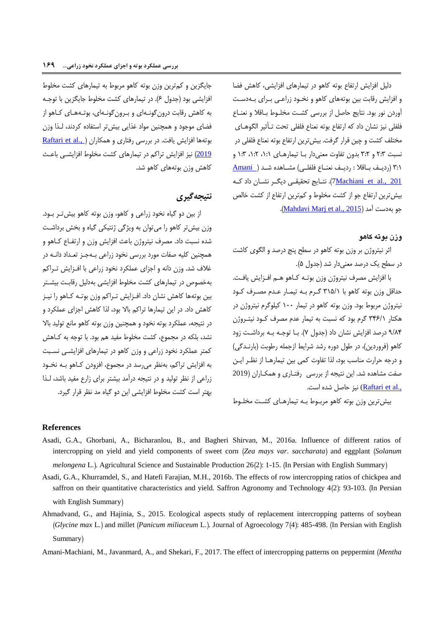دلیل افزایش ارتفاع بوته کاهو در تیمارهای افزایشی، کاهش فضا و افزایش رقابت بین بوتههای کاهو و نخـود زراعـی بـرای بـهدسـت آوردن نور بود. نتایج حاصل از بررسی کش ت مخل و ب اقال و نعن اع فلفلی نیز نشان داد که ارتفاع بوته نعناع فلفلی تحت ت أثیر الگوه ای مختلف کشت و چین قرار گرفت. بیشترین ارتفاع بوته نعناع فلفلی در نسبت ٢:٣ و ٣:٢ بدون تفاوت معنیدار با تیمارهای ٠:١، ١:٢، ١:٣ و ۳:۱ (ردیف باقلا : ردیف نعناع فلفلی[\)](#page-10-0) مشاهده شد ( [Amani](#page-10-0) 2<u>01 .,7Machiani et al)</u> نتـایج تحقیقـی دیگـر نشـان داد کـه بیشترین ارتفاع جو از کشت مخلو و کمترین ارتفاع از کشت خالص .)[Mahdavi Marj et al., 2015](#page-11-13)( آمد بهدست جو

#### **وزن بوته کاهو**

اثر نیتروژن بر وزن بوته کاهو در سطح پنج درصد و الگوی کاشت در سطح یک درصد معنیدار شد )جدول 5(.

با افزایش مصرف نیتروژن وزن بوتـه کـاهو هـم افـزایش یافت. حداقل وزن بوته کاهو با ۳۱۵/۱ گـرم بـه تیمـار عـدم مصـرف کـود نیتروژن مربوط بود. وزن بوته کاهو در تیمار ۱۰۰ کیلوگرم نیتروژن در هکتار 901/1 گرم بود که نسبت به تیمار عدم مصرف ک ود نیت روژن ۹/۸۴ درصد افزایش نشان داد (جدول ۷). بـا توجـه بـه برداشـت زود کاهو (فروردین)، در طول دوره رشد شرایط ازجمله رطوبت (بارنـدگی) و درجه حرارت مناسب بود، لذا تفاوت کمی بین تیمارهـا از نظـر ایـن صفت مشاهده شد. این نتیجه از بررسی رفت اری و همک اران ) 2019 .<u>Raftari et al</u> نیز حاصل شده است.

بیش ترین وزن بوته کاهو مربـوط بـه تیمارهـای کشـت مخلـوط

جایگزین و کمترین وزن بوته کاهو مربوط به تیمارهای کشت مخلوط افزایشی بود (جدول ۶). در تیمارهای کشت مخلوط جایگزین با توجـه به کاهش رقابت درون گونـهای و بـرونگونـهای، بوتـههـای کـاهو از فضای موجود و همچنین مواد غذایی بیشتر استفاده کردند، ل ذا وزن بوتهها افزایش یافت. در بررسی رفتاری و همکاران (Raftari et al.,[\)](#page-11-4) 2<u>019</u>) نیز افزایش تراکم در تیمارهای کشت مخلوط افزایشبی باعث کاهش وزن بوتههای کاهو شد.

# **نتیجهگیری**

از بین دو گیاه نخود زراعی و کاهو، وزن بوته کاهو بیشت ر ب ود. وزن بیشتر کاهو را میتوان به وییگی ژنتیکی گیاه و بخش برداش ت شده نسبت داد. مصرف نیتروژن باعث افزایش وزن و ارتف اع ک اهو و همچنین کلیه صفات مورد بررسی نخود زراعی ب هج ز تع داد دان ه در غالف شد. وزن دانه و اجزای عملکرد نخود زراعی با اف زایش ت راکم بهخصوص در تیمارهای کشت مخلو افزایشی بهدلیل رقاب ت بیش تر بین بوتهها کاهش نشان داد. اف زایش ت راکم وزن بوت ه ک اهو را نی ز کاهش داد. در این تیمارها تراکم باال بود، لذا کاهش اجزای عملکرد و در نتیجه، عملکرد بوته نخود و همچنین وزن بوته کاهو مانع تولید باال نشد، بلکه در مجموع، کشت مخلوط مفید هم بود. با توجه به کـاهش کمتر عملکرد نخود زراعی و وزن کاهو در تیمارهای افزایشـی نسـبت به افزایش تراکم، بهنظر میرسد در مجموع، افزودن ک اهو ب ه نخ ود زراعی از نظر تولید و در نتیجه درآمد بیشتر برای زارع مفید باشد، ل ذا بهتر است کشت مخلوط افزایشی این دو گیاه مد نظر قرار گیرد.

#### **References**

- <span id="page-10-2"></span>Asadi, G.A., Ghorbani, A., Bicharanlou, B., and Bagheri Shirvan, M., 2016a. Influence of different ratios of intercropping on yield and yield components of sweet corn )*Zea mays var*. *saccharata*( and eggplant )*Solanum melongena* L.). Agricultural Science and Sustainable Production 26(2): 1-15. (In Persian with English Summary)
- Asadi, G.A., Khurramdel, S., and Hatefi Farajian, M.H., 2016b. The effects of row intercropping ratios of chickpea and saffron on their quantitative characteristics and yield. Saffron Agronomy and Technology 4(2): 93-103. (In Persian with English Summary)
- <span id="page-10-1"></span>Ahmadvand, G., and Hajinia, S., 2015. Ecological aspects study of replacement intercropping patterns of soybean *(Glycine max L.)* and millet *(Panicum miliaceum L.)*. Journal of Agroecology 7(4): 485-498. (In Persian with English Summary)

<span id="page-10-0"></span>Amani-Machiani, M., Javanmard, A., and Shekari, F., 2017. The effect of intercropping patterns on peppermint *(Mentha*)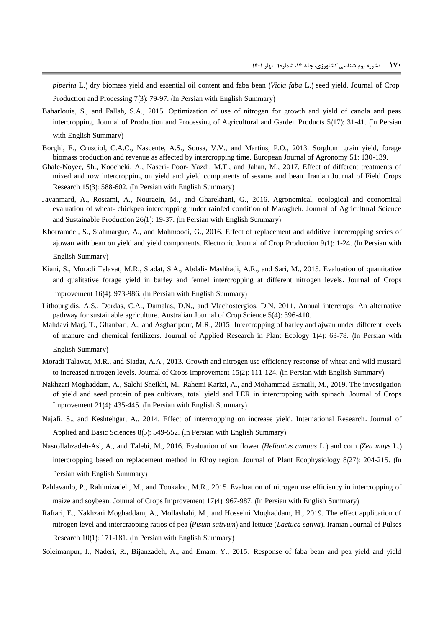*piperita* L.) dry biomass yield and essential oil content and faba bean (*Vicia faba* L.) seed yield. Journal of Crop Production and Processing  $7(3)$ : 79-97. (In Persian with English Summary)

- <span id="page-11-5"></span>Baharlouie, S., and Fallah, S.A., 2015. Optimization of use of nitrogen for growth and yield of canola and peas intercropping. Journal of Production and Processing of Agricultural and Garden Products 5(17): 31-41. (In Persian with English Summary)
- <span id="page-11-0"></span>Borghi, E., Crusciol, C.A.C., Nascente, A.S., Sousa, V.V., and Martins, P.O., 2013. Sorghum grain yield, forage biomass production and revenue as affected by intercropping time. European Journal of Agronomy 51: 130-139.
- <span id="page-11-2"></span>Ghale-Noyee, Sh., Koocheki, A., Naseri- Poor- Yazdi, M.T., and Jahan, M., 2017. Effect of different treatments of mixed and row intercropping on yield and yield components of sesame and bean. Iranian Journal of Field Crops Research 15(3): 588-602. (In Persian with English Summary)
- <span id="page-11-8"></span>Javanmard, A., Rostami, A., Nouraein, M., and Gharekhani, G., 2016. Agronomical, ecological and economical evaluation of wheat- chickpea intercropping under rainfed condition of Maragheh. Journal of Agricultural Science and Sustainable Production  $26(1)$ : 19-37. (In Persian with English Summary)
- <span id="page-11-11"></span>Khorramdel, S., Siahmargue, A., and Mahmoodi, G., 2016. Effect of replacement and additive intercropping series of ajowan with bean on yield and yield components. Electronic Journal of Crop Production 9(1): 1-24. (In Persian with English Summary)
- <span id="page-11-12"></span>Kiani, S., Moradi Telavat, M.R., Siadat, S.A., Abdali- Mashhadi, A.R., and Sari, M., 2015. Evaluation of quantitative and qualitative forage yield in barley and fennel intercropping at different nitrogen levels. Journal of Crops Improvement  $16(4)$ : 973-986. (In Persian with English Summary)
- Lithourgidis, A.S., Dordas, C.A., Damalas, D.N., and Vlachostergios, D.N. 2011. Annual intercrops: An alternative pathway for sustainable agriculture. Australian Journal of Crop Science 5(4): 396-410.
- <span id="page-11-13"></span>Mahdavi Marj, T., Ghanbari, A., and Asgharipour, M.R., 2015. Intercropping of barley and ajwan under different levels of manure and chemical fertilizers. Journal of Applied Research in Plant Ecology 1(4): 63-78. (In Persian with English Summary)
- <span id="page-11-10"></span>Moradi Talawat, M.R., and Siadat, A.A., 2013. Growth and nitrogen use efficiency response of wheat and wild mustard to increased nitrogen levels. Journal of Crops Improvement  $15(2)$ :  $111-124$ . (In Persian with English Summary)
- <span id="page-11-6"></span>Nakhzari Moghaddam, A., Salehi Sheikhi, M., Rahemi Karizi, A., and Mohammad Esmaili, M., 2019. The investigation of yield and seed protein of pea cultivars, total yield and LER in intercropping with spinach. Journal of Crops Improvement  $21(4)$ : 435-445. (In Persian with English Summary)
- <span id="page-11-1"></span>Najafi, S., and Keshtehgar, A., 2014. Effect of intercropping on increase yield. International Research. Journal of Applied and Basic Sciences 8(5): 549-552. (In Persian with English Summary)
- <span id="page-11-3"></span>Nasrollahzadeh-Asl, A., and Talebi, M., 2016. Evaluation of sunflower (*Heliantus annuus* L.) and corn (*Zea mays* L.) intercropping based on replacement method in Khoy region. Journal of Plant Ecophysiology 8(27): 204-215. (In Persian with English Summary)
- <span id="page-11-9"></span>Pahlavanlo, P., Rahimizadeh, M., and Tookaloo, M.R., 2015. Evaluation of nitrogen use efficiency in intercropping of maize and soybean. Journal of Crops Improvement 17(4): 967-987. (In Persian with English Summary)
- <span id="page-11-4"></span>Raftari, E., Nakhzari Moghaddam, A., Mollashahi, M., and Hosseini Moghaddam, H., 2019. The effect application of nitrogen level and intercraoping ratios of pea (Pisum sativum) and lettuce (*Lactuca sativa*). Iranian Journal of Pulses Research 10(1): 171-181. (In Persian with English Summary)
- <span id="page-11-7"></span>Soleimanpur, I., Naderi, R., Bijanzadeh, A., and Emam, Y., 2015. Response of faba bean and pea yield and yield